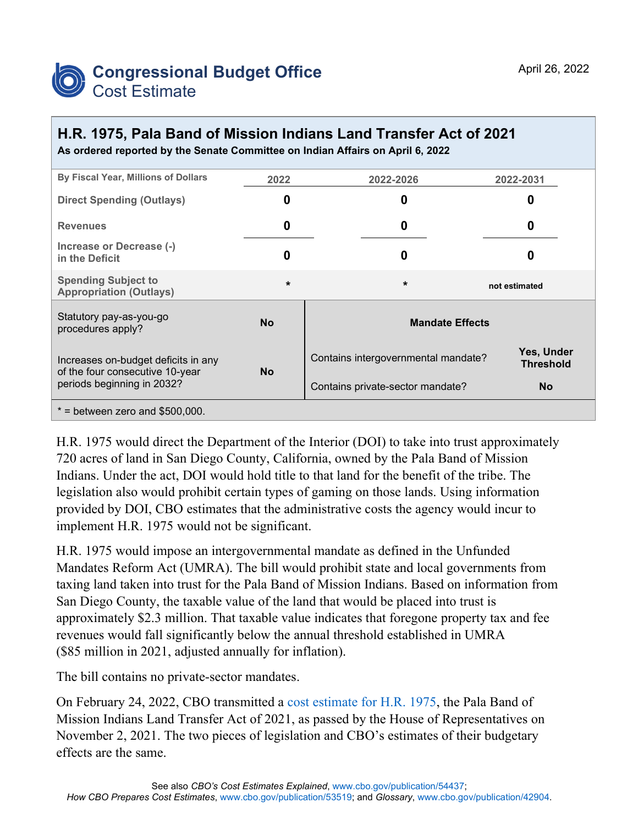

## **H.R. 1975, Pala Band of Mission Indians Land Transfer Act of 2021 As ordered reported by the Senate Committee on Indian Affairs on April 6, 2022**

| By Fiscal Year, Millions of Dollars                                                                  | 2022      | 2022-2026                           | 2022-2031                      |
|------------------------------------------------------------------------------------------------------|-----------|-------------------------------------|--------------------------------|
| <b>Direct Spending (Outlays)</b>                                                                     | O         | 0                                   |                                |
| <b>Revenues</b>                                                                                      | 0         | 0                                   | O                              |
| Increase or Decrease (-)<br>in the Deficit                                                           | 0         | 0                                   | O                              |
| <b>Spending Subject to</b><br><b>Appropriation (Outlays)</b>                                         | $\star$   | $\star$                             | not estimated                  |
| Statutory pay-as-you-go<br>procedures apply?                                                         | <b>No</b> | <b>Mandate Effects</b>              |                                |
| Increases on-budget deficits in any<br>of the four consecutive 10-year<br>periods beginning in 2032? | <b>No</b> | Contains intergovernmental mandate? | Yes, Under<br><b>Threshold</b> |
|                                                                                                      |           | Contains private-sector mandate?    | <b>No</b>                      |
| $*$ = between zero and \$500,000.                                                                    |           |                                     |                                |

H.R. 1975 would direct the Department of the Interior (DOI) to take into trust approximately 720 acres of land in San Diego County, California, owned by the Pala Band of Mission Indians. Under the act, DOI would hold title to that land for the benefit of the tribe. The legislation also would prohibit certain types of gaming on those lands. Using information provided by DOI, CBO estimates that the administrative costs the agency would incur to implement H.R. 1975 would not be significant.

H.R. 1975 would impose an intergovernmental mandate as defined in the Unfunded Mandates Reform Act (UMRA). The bill would prohibit state and local governments from taxing land taken into trust for the Pala Band of Mission Indians. Based on information from San Diego County, the taxable value of the land that would be placed into trust is approximately \$2.3 million. That taxable value indicates that foregone property tax and fee revenues would fall significantly below the annual threshold established in UMRA (\$85 million in 2021, adjusted annually for inflation).

The bill contains no private-sector mandates.

On February 24, 2022, CBO transmitted a [cost estimate for H.R. 1975,](https://www.cbo.gov/publication/57874) the Pala Band of Mission Indians Land Transfer Act of 2021, as passed by the House of Representatives on November 2, 2021. The two pieces of legislation and CBO's estimates of their budgetary effects are the same.